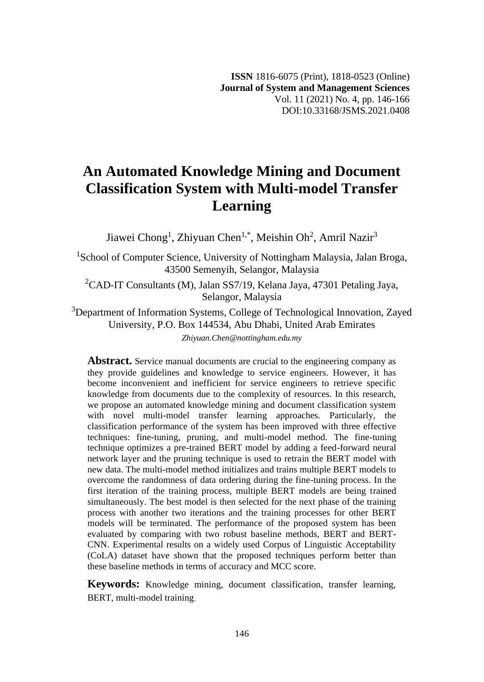# **An Automated Knowledge Mining and Document Classification System with Multi-model Transfer Learning**

Jiawei Chong<sup>1</sup>, Zhiyuan Chen<sup>1,\*</sup>, Meishin Oh<sup>2</sup>, Amril Nazir<sup>3</sup>

<sup>1</sup>School of Computer Science, University of Nottingham Malaysia, Jalan Broga, 43500 Semenyih, Selangor, Malaysia

<sup>2</sup>CAD-IT Consultants (M), Jalan SS7/19, Kelana Jaya, 47301 Petaling Jaya, Selangor, Malaysia

<sup>3</sup>Department of Information Systems, College of Technological Innovation, Zayed University, P.O. Box 144534, Abu Dhabi, United Arab Emirates *Zhiyuan.Chen@nottingham.edu.my*

Abstract. Service manual documents are crucial to the engineering company as they provide guidelines and knowledge to service engineers. However, it has become inconvenient and inefficient for service engineers to retrieve specific knowledge from documents due to the complexity of resources. In this research, we propose an automated knowledge mining and document classification system with novel multi-model transfer learning approaches. Particularly, the classification performance of the system has been improved with three effective techniques: fine-tuning, pruning, and multi-model method. The fine-tuning technique optimizes a pre-trained BERT model by adding a feed-forward neural network layer and the pruning technique is used to retrain the BERT model with new data. The multi-model method initializes and trains multiple BERT models to overcome the randomness of data ordering during the fine-tuning process. In the first iteration of the training process, multiple BERT models are being trained simultaneously. The best model is then selected for the next phase of the training process with another two iterations and the training processes for other BERT models will be terminated. The performance of the proposed system has been evaluated by comparing with two robust baseline methods, BERT and BERT-CNN. Experimental results on a widely used Corpus of Linguistic Acceptability (CoLA) dataset have shown that the proposed techniques perform better than these baseline methods in terms of accuracy and MCC score.

**Keywords:** Knowledge mining, document classification, transfer learning, BERT, multi-model training.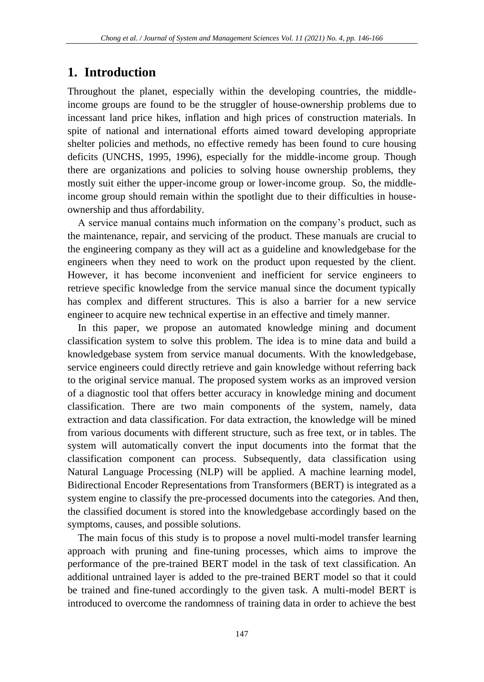## **1. Introduction**

Throughout the planet, especially within the developing countries, the middleincome groups are found to be the struggler of house-ownership problems due to incessant land price hikes, inflation and high prices of construction materials. In spite of national and international efforts aimed toward developing appropriate shelter policies and methods, no effective remedy has been found to cure housing deficits (UNCHS, 1995, 1996), especially for the middle-income group. Though there are organizations and policies to solving house ownership problems, they mostly suit either the upper-income group or lower-income group. So, the middleincome group should remain within the spotlight due to their difficulties in houseownership and thus affordability.

A service manual contains much information on the company's product, such as the maintenance, repair, and servicing of the product. These manuals are crucial to the engineering company as they will act as a guideline and knowledgebase for the engineers when they need to work on the product upon requested by the client. However, it has become inconvenient and inefficient for service engineers to retrieve specific knowledge from the service manual since the document typically has complex and different structures. This is also a barrier for a new service engineer to acquire new technical expertise in an effective and timely manner.

In this paper, we propose an automated knowledge mining and document classification system to solve this problem. The idea is to mine data and build a knowledgebase system from service manual documents. With the knowledgebase, service engineers could directly retrieve and gain knowledge without referring back to the original service manual. The proposed system works as an improved version of a diagnostic tool that offers better accuracy in knowledge mining and document classification. There are two main components of the system, namely, data extraction and data classification. For data extraction, the knowledge will be mined from various documents with different structure, such as free text, or in tables. The system will automatically convert the input documents into the format that the classification component can process. Subsequently, data classification using Natural Language Processing (NLP) will be applied. A machine learning model, Bidirectional Encoder Representations from Transformers (BERT) is integrated as a system engine to classify the pre-processed documents into the categories. And then, the classified document is stored into the knowledgebase accordingly based on the symptoms, causes, and possible solutions.

The main focus of this study is to propose a novel multi-model transfer learning approach with pruning and fine-tuning processes, which aims to improve the performance of the pre-trained BERT model in the task of text classification. An additional untrained layer is added to the pre-trained BERT model so that it could be trained and fine-tuned accordingly to the given task. A multi-model BERT is introduced to overcome the randomness of training data in order to achieve the best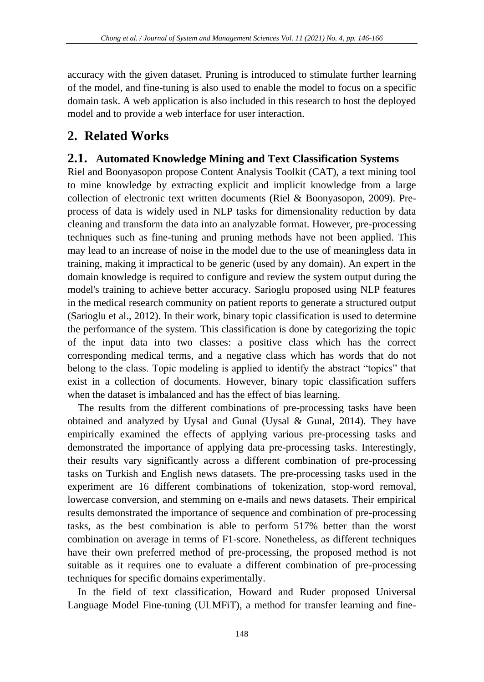accuracy with the given dataset. Pruning is introduced to stimulate further learning of the model, and fine-tuning is also used to enable the model to focus on a specific domain task. A web application is also included in this research to host the deployed model and to provide a web interface for user interaction.

## **2. Related Works**

#### **2.1. Automated Knowledge Mining and Text Classification Systems**

Riel and Boonyasopon propose Content Analysis Toolkit (CAT), a text mining tool to mine knowledge by extracting explicit and implicit knowledge from a large collection of electronic text written documents (Riel & Boonyasopon, 2009). Preprocess of data is widely used in NLP tasks for dimensionality reduction by data cleaning and transform the data into an analyzable format. However, pre-processing techniques such as fine-tuning and pruning methods have not been applied. This may lead to an increase of noise in the model due to the use of meaningless data in training, making it impractical to be generic (used by any domain). An expert in the domain knowledge is required to configure and review the system output during the model's training to achieve better accuracy. Sarioglu proposed using NLP features in the medical research community on patient reports to generate a structured output (Sarioglu et al., 2012). In their work, binary topic classification is used to determine the performance of the system. This classification is done by categorizing the topic of the input data into two classes: a positive class which has the correct corresponding medical terms, and a negative class which has words that do not belong to the class. Topic modeling is applied to identify the abstract "topics" that exist in a collection of documents. However, binary topic classification suffers when the dataset is imbalanced and has the effect of bias learning.

The results from the different combinations of pre-processing tasks have been obtained and analyzed by Uysal and Gunal (Uysal & Gunal, 2014). They have empirically examined the effects of applying various pre-processing tasks and demonstrated the importance of applying data pre-processing tasks. Interestingly, their results vary significantly across a different combination of pre-processing tasks on Turkish and English news datasets. The pre-processing tasks used in the experiment are 16 different combinations of tokenization, stop-word removal, lowercase conversion, and stemming on e-mails and news datasets. Their empirical results demonstrated the importance of sequence and combination of pre-processing tasks, as the best combination is able to perform 517% better than the worst combination on average in terms of F1-score. Nonetheless, as different techniques have their own preferred method of pre-processing, the proposed method is not suitable as it requires one to evaluate a different combination of pre-processing techniques for specific domains experimentally.

In the field of text classification, Howard and Ruder proposed Universal Language Model Fine-tuning (ULMFiT), a method for transfer learning and fine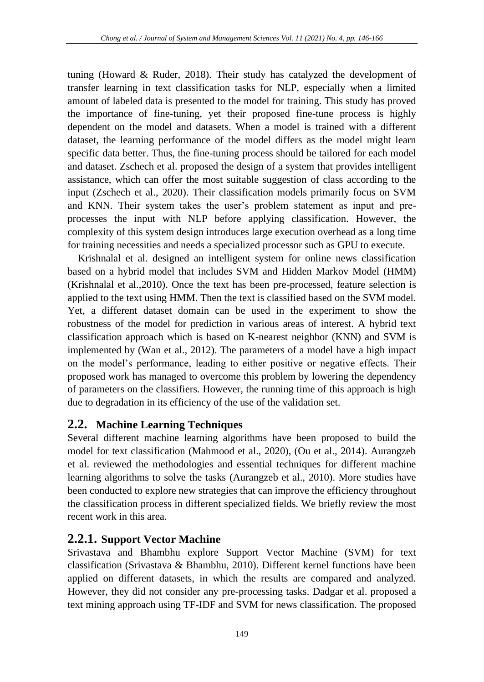tuning (Howard  $\&$  Ruder, 2018). Their study has catalyzed the development of transfer learning in text classification tasks for NLP, especially when a limited amount of labeled data is presented to the model for training. This study has proved the importance of fine-tuning, yet their proposed fine-tune process is highly dependent on the model and datasets. When a model is trained with a different dataset, the learning performance of the model differs as the model might learn specific data better. Thus, the fine-tuning process should be tailored for each model and dataset. Zschech et al. proposed the design of a system that provides intelligent assistance, which can offer the most suitable suggestion of class according to the input (Zschech et al., 2020). Their classification models primarily focus on SVM and KNN. Their system takes the user's problem statement as input and preprocesses the input with NLP before applying classification. However, the complexity of this system design introduces large execution overhead as a long time for training necessities and needs a specialized processor such as GPU to execute.

Krishnalal et al. designed an intelligent system for online news classification based on a hybrid model that includes SVM and Hidden Markov Model (HMM) (Krishnalal et al.,2010). Once the text has been pre-processed, feature selection is applied to the text using HMM. Then the text is classified based on the SVM model. Yet, a different dataset domain can be used in the experiment to show the robustness of the model for prediction in various areas of interest. A hybrid text classification approach which is based on K-nearest neighbor (KNN) and SVM is implemented by (Wan et al., 2012). The parameters of a model have a high impact on the model's performance, leading to either positive or negative effects. Their proposed work has managed to overcome this problem by lowering the dependency of parameters on the classifiers. However, the running time of this approach is high due to degradation in its efficiency of the use of the validation set.

## **2.2. Machine Learning Techniques**

Several different machine learning algorithms have been proposed to build the model for text classification (Mahmood et al., 2020), (Ou et al., 2014). Aurangzeb et al. reviewed the methodologies and essential techniques for different machine learning algorithms to solve the tasks (Aurangzeb et al., 2010). More studies have been conducted to explore new strategies that can improve the efficiency throughout the classification process in different specialized fields. We briefly review the most recent work in this area.

## **2.2.1. Support Vector Machine**

Srivastava and Bhambhu explore Support Vector Machine (SVM) for text classification (Srivastava & Bhambhu, 2010). Different kernel functions have been applied on different datasets, in which the results are compared and analyzed. However, they did not consider any pre-processing tasks. Dadgar et al. proposed a text mining approach using TF-IDF and SVM for news classification. The proposed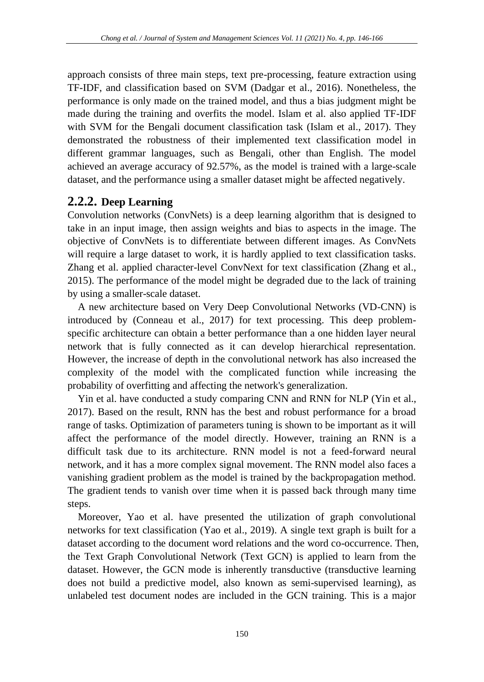approach consists of three main steps, text pre-processing, feature extraction using TF-IDF, and classification based on SVM (Dadgar et al., 2016). Nonetheless, the performance is only made on the trained model, and thus a bias judgment might be made during the training and overfits the model. Islam et al. also applied TF-IDF with SVM for the Bengali document classification task (Islam et al., 2017). They demonstrated the robustness of their implemented text classification model in different grammar languages, such as Bengali, other than English. The model achieved an average accuracy of 92.57%, as the model is trained with a large-scale dataset, and the performance using a smaller dataset might be affected negatively.

#### **2.2.2. Deep Learning**

Convolution networks (ConvNets) is a deep learning algorithm that is designed to take in an input image, then assign weights and bias to aspects in the image. The objective of ConvNets is to differentiate between different images. As ConvNets will require a large dataset to work, it is hardly applied to text classification tasks. Zhang et al. applied character-level ConvNext for text classification (Zhang et al., 2015). The performance of the model might be degraded due to the lack of training by using a smaller-scale dataset.

A new architecture based on Very Deep Convolutional Networks (VD-CNN) is introduced by (Conneau et al., 2017) for text processing. This deep problemspecific architecture can obtain a better performance than a one hidden layer neural network that is fully connected as it can develop hierarchical representation. However, the increase of depth in the convolutional network has also increased the complexity of the model with the complicated function while increasing the probability of overfitting and affecting the network's generalization.

Yin et al. have conducted a study comparing CNN and RNN for NLP (Yin et al., 2017). Based on the result, RNN has the best and robust performance for a broad range of tasks. Optimization of parameters tuning is shown to be important as it will affect the performance of the model directly. However, training an RNN is a difficult task due to its architecture. RNN model is not a feed-forward neural network, and it has a more complex signal movement. The RNN model also faces a vanishing gradient problem as the model is trained by the backpropagation method. The gradient tends to vanish over time when it is passed back through many time steps.

Moreover, Yao et al. have presented the utilization of graph convolutional networks for text classification (Yao et al., 2019). A single text graph is built for a dataset according to the document word relations and the word co-occurrence. Then, the Text Graph Convolutional Network (Text GCN) is applied to learn from the dataset. However, the GCN mode is inherently transductive (transductive learning does not build a predictive model, also known as semi-supervised learning), as unlabeled test document nodes are included in the GCN training. This is a major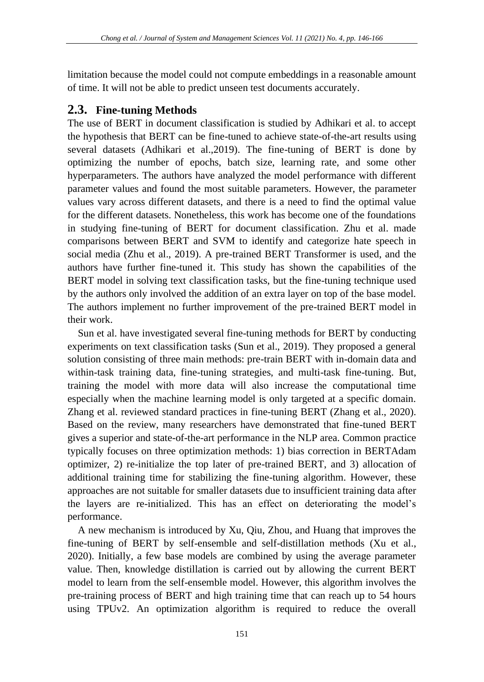limitation because the model could not compute embeddings in a reasonable amount of time. It will not be able to predict unseen test documents accurately.

#### **2.3. Fine-tuning Methods**

The use of BERT in document classification is studied by Adhikari et al. to accept the hypothesis that BERT can be fine-tuned to achieve state-of-the-art results using several datasets (Adhikari et al.,2019). The fine-tuning of BERT is done by optimizing the number of epochs, batch size, learning rate, and some other hyperparameters. The authors have analyzed the model performance with different parameter values and found the most suitable parameters. However, the parameter values vary across different datasets, and there is a need to find the optimal value for the different datasets. Nonetheless, this work has become one of the foundations in studying fine-tuning of BERT for document classification. Zhu et al. made comparisons between BERT and SVM to identify and categorize hate speech in social media (Zhu et al., 2019). A pre-trained BERT Transformer is used, and the authors have further fine-tuned it. This study has shown the capabilities of the BERT model in solving text classification tasks, but the fine-tuning technique used by the authors only involved the addition of an extra layer on top of the base model. The authors implement no further improvement of the pre-trained BERT model in their work.

Sun et al. have investigated several fine-tuning methods for BERT by conducting experiments on text classification tasks (Sun et al., 2019). They proposed a general solution consisting of three main methods: pre-train BERT with in-domain data and within-task training data, fine-tuning strategies, and multi-task fine-tuning. But, training the model with more data will also increase the computational time especially when the machine learning model is only targeted at a specific domain. Zhang et al. reviewed standard practices in fine-tuning BERT (Zhang et al., 2020). Based on the review, many researchers have demonstrated that fine-tuned BERT gives a superior and state-of-the-art performance in the NLP area. Common practice typically focuses on three optimization methods: 1) bias correction in BERTAdam optimizer, 2) re-initialize the top later of pre-trained BERT, and 3) allocation of additional training time for stabilizing the fine-tuning algorithm. However, these approaches are not suitable for smaller datasets due to insufficient training data after the layers are re-initialized. This has an effect on deteriorating the model's performance.

A new mechanism is introduced by Xu, Qiu, Zhou, and Huang that improves the fine-tuning of BERT by self-ensemble and self-distillation methods (Xu et al., 2020). Initially, a few base models are combined by using the average parameter value. Then, knowledge distillation is carried out by allowing the current BERT model to learn from the self-ensemble model. However, this algorithm involves the pre-training process of BERT and high training time that can reach up to 54 hours using TPUv2. An optimization algorithm is required to reduce the overall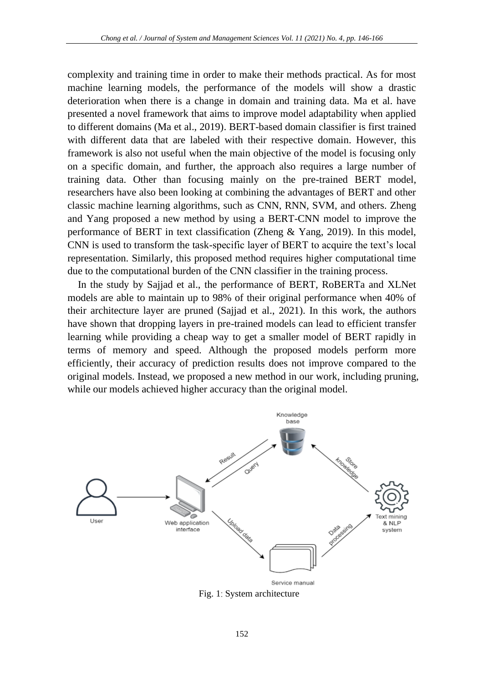complexity and training time in order to make their methods practical. As for most machine learning models, the performance of the models will show a drastic deterioration when there is a change in domain and training data. Ma et al. have presented a novel framework that aims to improve model adaptability when applied to different domains (Ma et al., 2019). BERT-based domain classifier is first trained with different data that are labeled with their respective domain. However, this framework is also not useful when the main objective of the model is focusing only on a specific domain, and further, the approach also requires a large number of training data. Other than focusing mainly on the pre-trained BERT model, researchers have also been looking at combining the advantages of BERT and other classic machine learning algorithms, such as CNN, RNN, SVM, and others. Zheng and Yang proposed a new method by using a BERT-CNN model to improve the performance of BERT in text classification (Zheng & Yang, 2019). In this model, CNN is used to transform the task-specific layer of BERT to acquire the text's local representation. Similarly, this proposed method requires higher computational time due to the computational burden of the CNN classifier in the training process.

In the study by Sajjad et al., the performance of BERT, RoBERTa and XLNet models are able to maintain up to 98% of their original performance when 40% of their architecture layer are pruned (Sajjad et al., 2021). In this work, the authors have shown that dropping layers in pre-trained models can lead to efficient transfer learning while providing a cheap way to get a smaller model of BERT rapidly in terms of memory and speed. Although the proposed models perform more efficiently, their accuracy of prediction results does not improve compared to the original models. Instead, we proposed a new method in our work, including pruning, while our models achieved higher accuracy than the original model.



Fig. 1: System architecture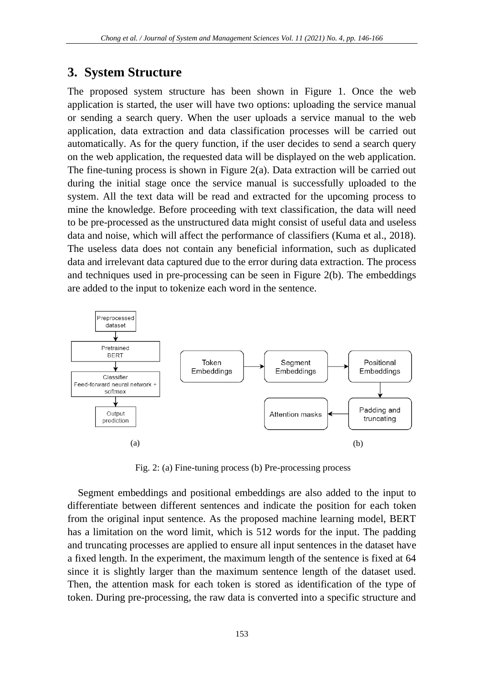## **3. System Structure**

The proposed system structure has been shown in Figure 1. Once the web application is started, the user will have two options: uploading the service manual or sending a search query. When the user uploads a service manual to the web application, data extraction and data classification processes will be carried out automatically. As for the query function, if the user decides to send a search query on the web application, the requested data will be displayed on the web application. The fine-tuning process is shown in Figure 2(a). Data extraction will be carried out during the initial stage once the service manual is successfully uploaded to the system. All the text data will be read and extracted for the upcoming process to mine the knowledge. Before proceeding with text classification, the data will need to be pre-processed as the unstructured data might consist of useful data and useless data and noise, which will affect the performance of classifiers (Kuma et al., 2018). The useless data does not contain any beneficial information, such as duplicated data and irrelevant data captured due to the error during data extraction. The process and techniques used in pre-processing can be seen in Figure 2(b). The embeddings are added to the input to tokenize each word in the sentence.



Fig. 2: (a) Fine-tuning process (b) Pre-processing process

Segment embeddings and positional embeddings are also added to the input to differentiate between different sentences and indicate the position for each token from the original input sentence. As the proposed machine learning model, BERT has a limitation on the word limit, which is 512 words for the input. The padding and truncating processes are applied to ensure all input sentences in the dataset have a fixed length. In the experiment, the maximum length of the sentence is fixed at 64 since it is slightly larger than the maximum sentence length of the dataset used. Then, the attention mask for each token is stored as identification of the type of token. During pre-processing, the raw data is converted into a specific structure and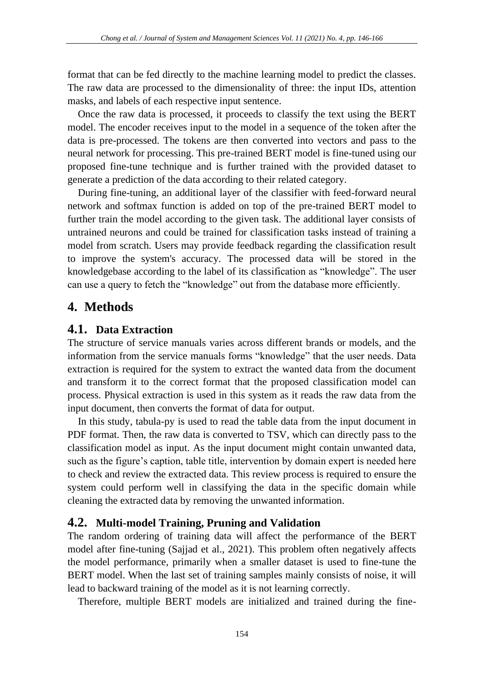format that can be fed directly to the machine learning model to predict the classes. The raw data are processed to the dimensionality of three: the input IDs, attention masks, and labels of each respective input sentence.

Once the raw data is processed, it proceeds to classify the text using the BERT model. The encoder receives input to the model in a sequence of the token after the data is pre-processed. The tokens are then converted into vectors and pass to the neural network for processing. This pre-trained BERT model is fine-tuned using our proposed fine-tune technique and is further trained with the provided dataset to generate a prediction of the data according to their related category.

During fine-tuning, an additional layer of the classifier with feed-forward neural network and softmax function is added on top of the pre-trained BERT model to further train the model according to the given task. The additional layer consists of untrained neurons and could be trained for classification tasks instead of training a model from scratch. Users may provide feedback regarding the classification result to improve the system's accuracy. The processed data will be stored in the knowledgebase according to the label of its classification as "knowledge". The user can use a query to fetch the "knowledge" out from the database more efficiently.

## **4. Methods**

#### **4.1. Data Extraction**

The structure of service manuals varies across different brands or models, and the information from the service manuals forms "knowledge" that the user needs. Data extraction is required for the system to extract the wanted data from the document and transform it to the correct format that the proposed classification model can process. Physical extraction is used in this system as it reads the raw data from the input document, then converts the format of data for output.

In this study, tabula-py is used to read the table data from the input document in PDF format. Then, the raw data is converted to TSV, which can directly pass to the classification model as input. As the input document might contain unwanted data, such as the figure's caption, table title, intervention by domain expert is needed here to check and review the extracted data. This review process is required to ensure the system could perform well in classifying the data in the specific domain while cleaning the extracted data by removing the unwanted information.

#### **4.2. Multi-model Training, Pruning and Validation**

The random ordering of training data will affect the performance of the BERT model after fine-tuning (Sajjad et al., 2021). This problem often negatively affects the model performance, primarily when a smaller dataset is used to fine-tune the BERT model. When the last set of training samples mainly consists of noise, it will lead to backward training of the model as it is not learning correctly.

Therefore, multiple BERT models are initialized and trained during the fine-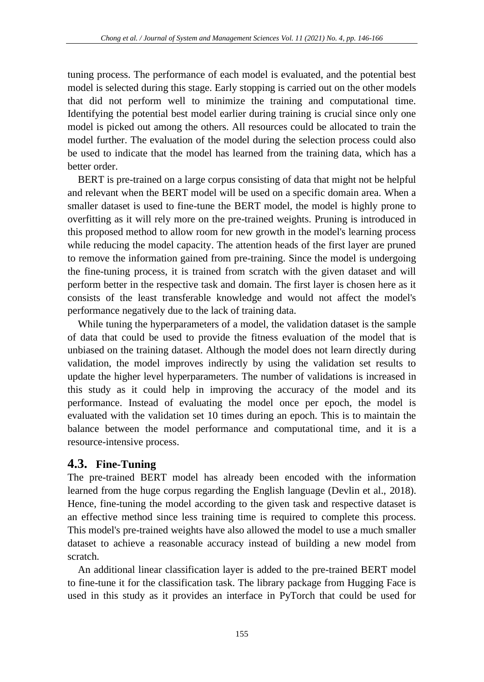tuning process. The performance of each model is evaluated, and the potential best model is selected during this stage. Early stopping is carried out on the other models that did not perform well to minimize the training and computational time. Identifying the potential best model earlier during training is crucial since only one model is picked out among the others. All resources could be allocated to train the model further. The evaluation of the model during the selection process could also be used to indicate that the model has learned from the training data, which has a better order.

BERT is pre-trained on a large corpus consisting of data that might not be helpful and relevant when the BERT model will be used on a specific domain area. When a smaller dataset is used to fine-tune the BERT model, the model is highly prone to overfitting as it will rely more on the pre-trained weights. Pruning is introduced in this proposed method to allow room for new growth in the model's learning process while reducing the model capacity. The attention heads of the first layer are pruned to remove the information gained from pre-training. Since the model is undergoing the fine-tuning process, it is trained from scratch with the given dataset and will perform better in the respective task and domain. The first layer is chosen here as it consists of the least transferable knowledge and would not affect the model's performance negatively due to the lack of training data.

While tuning the hyperparameters of a model, the validation dataset is the sample of data that could be used to provide the fitness evaluation of the model that is unbiased on the training dataset. Although the model does not learn directly during validation, the model improves indirectly by using the validation set results to update the higher level hyperparameters. The number of validations is increased in this study as it could help in improving the accuracy of the model and its performance. Instead of evaluating the model once per epoch, the model is evaluated with the validation set 10 times during an epoch. This is to maintain the balance between the model performance and computational time, and it is a resource-intensive process.

#### **4.3. Fine-Tuning**

The pre-trained BERT model has already been encoded with the information learned from the huge corpus regarding the English language (Devlin et al., 2018). Hence, fine-tuning the model according to the given task and respective dataset is an effective method since less training time is required to complete this process. This model's pre-trained weights have also allowed the model to use a much smaller dataset to achieve a reasonable accuracy instead of building a new model from scratch.

An additional linear classification layer is added to the pre-trained BERT model to fine-tune it for the classification task. The library package from Hugging Face is used in this study as it provides an interface in PyTorch that could be used for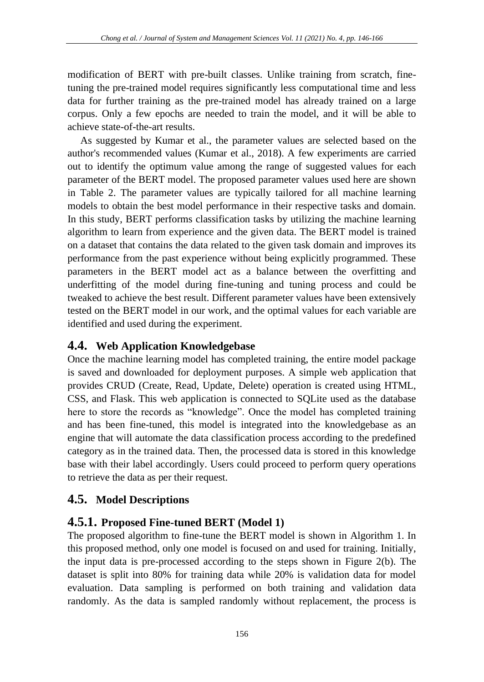modification of BERT with pre-built classes. Unlike training from scratch, finetuning the pre-trained model requires significantly less computational time and less data for further training as the pre-trained model has already trained on a large corpus. Only a few epochs are needed to train the model, and it will be able to achieve state-of-the-art results.

As suggested by Kumar et al., the parameter values are selected based on the author's recommended values (Kumar et al., 2018). A few experiments are carried out to identify the optimum value among the range of suggested values for each parameter of the BERT model. The proposed parameter values used here are shown in Table 2. The parameter values are typically tailored for all machine learning models to obtain the best model performance in their respective tasks and domain. In this study, BERT performs classification tasks by utilizing the machine learning algorithm to learn from experience and the given data. The BERT model is trained on a dataset that contains the data related to the given task domain and improves its performance from the past experience without being explicitly programmed. These parameters in the BERT model act as a balance between the overfitting and underfitting of the model during fine-tuning and tuning process and could be tweaked to achieve the best result. Different parameter values have been extensively tested on the BERT model in our work, and the optimal values for each variable are identified and used during the experiment.

#### **4.4. Web Application Knowledgebase**

Once the machine learning model has completed training, the entire model package is saved and downloaded for deployment purposes. A simple web application that provides CRUD (Create, Read, Update, Delete) operation is created using HTML, CSS, and Flask. This web application is connected to SQLite used as the database here to store the records as "knowledge". Once the model has completed training and has been fine-tuned, this model is integrated into the knowledgebase as an engine that will automate the data classification process according to the predefined category as in the trained data. Then, the processed data is stored in this knowledge base with their label accordingly. Users could proceed to perform query operations to retrieve the data as per their request.

## **4.5. Model Descriptions**

## **4.5.1. Proposed Fine-tuned BERT (Model 1)**

The proposed algorithm to fine-tune the BERT model is shown in Algorithm 1. In this proposed method, only one model is focused on and used for training. Initially, the input data is pre-processed according to the steps shown in Figure 2(b). The dataset is split into 80% for training data while 20% is validation data for model evaluation. Data sampling is performed on both training and validation data randomly. As the data is sampled randomly without replacement, the process is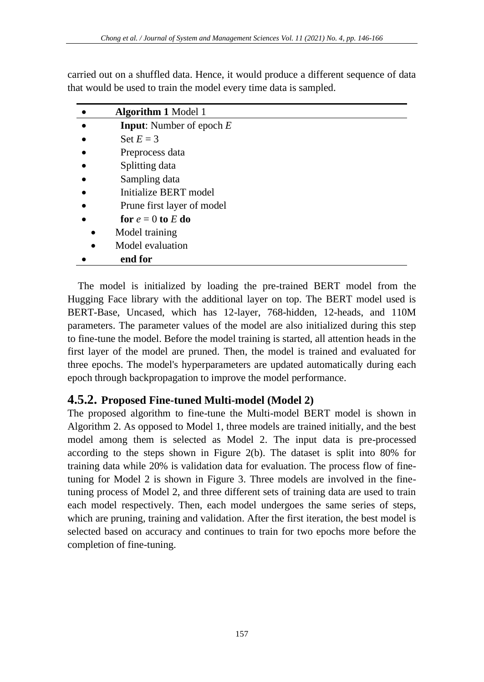|           | <b>Algorithm 1 Model 1</b>        |
|-----------|-----------------------------------|
| $\bullet$ | <b>Input:</b> Number of epoch $E$ |
| $\bullet$ | Set $E = 3$                       |
| $\bullet$ | Preprocess data                   |
| $\bullet$ | Splitting data                    |
| $\bullet$ | Sampling data                     |
| $\bullet$ | Initialize BERT model             |
| $\bullet$ | Prune first layer of model        |
|           | for $e = 0$ to E do               |

carried out on a shuffled data. Hence, it would produce a different sequence of data that would be used to train the model every time data is sampled.

- Model training
- Model evaluation
- **end for**

The model is initialized by loading the pre-trained BERT model from the Hugging Face library with the additional layer on top. The BERT model used is BERT-Base, Uncased, which has 12-layer, 768-hidden, 12-heads, and 110M parameters. The parameter values of the model are also initialized during this step to fine-tune the model. Before the model training is started, all attention heads in the first layer of the model are pruned. Then, the model is trained and evaluated for three epochs. The model's hyperparameters are updated automatically during each epoch through backpropagation to improve the model performance.

## **4.5.2. Proposed Fine-tuned Multi-model (Model 2)**

The proposed algorithm to fine-tune the Multi-model BERT model is shown in Algorithm 2. As opposed to Model 1, three models are trained initially, and the best model among them is selected as Model 2. The input data is pre-processed according to the steps shown in Figure 2(b). The dataset is split into 80% for training data while 20% is validation data for evaluation. The process flow of finetuning for Model 2 is shown in Figure 3. Three models are involved in the finetuning process of Model 2, and three different sets of training data are used to train each model respectively. Then, each model undergoes the same series of steps, which are pruning, training and validation. After the first iteration, the best model is selected based on accuracy and continues to train for two epochs more before the completion of fine-tuning.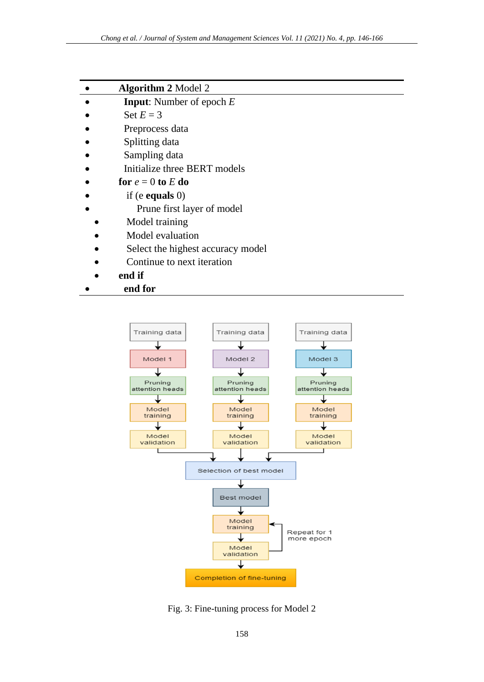| <b>Algorithm 2 Model 2</b> |
|----------------------------|
|----------------------------|

• **Input**: Number of epoch *E*

- Set  $E = 3$
- Preprocess data
- Splitting data
- Sampling data
- Initialize three BERT models
- for  $e = 0$  to  $E$  do
- if (e **equals** 0)
	- Prune first layer of model
- Model training
- Model evaluation
- Select the highest accuracy model
- Continue to next iteration
- **end if**
- **end for**



Fig. 3: Fine-tuning process for Model 2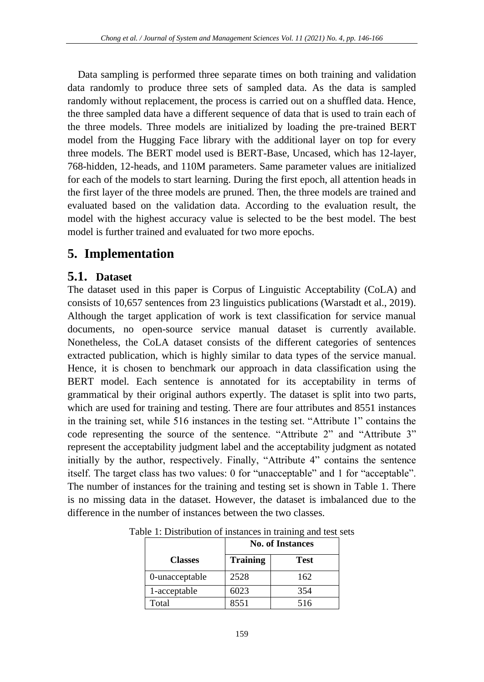Data sampling is performed three separate times on both training and validation data randomly to produce three sets of sampled data. As the data is sampled randomly without replacement, the process is carried out on a shuffled data. Hence, the three sampled data have a different sequence of data that is used to train each of the three models. Three models are initialized by loading the pre-trained BERT model from the Hugging Face library with the additional layer on top for every three models. The BERT model used is BERT-Base, Uncased, which has 12-layer, 768-hidden, 12-heads, and 110M parameters. Same parameter values are initialized for each of the models to start learning. During the first epoch, all attention heads in the first layer of the three models are pruned. Then, the three models are trained and evaluated based on the validation data. According to the evaluation result, the model with the highest accuracy value is selected to be the best model. The best model is further trained and evaluated for two more epochs.

## **5. Implementation**

#### **5.1. Dataset**

The dataset used in this paper is Corpus of Linguistic Acceptability (CoLA) and consists of 10,657 sentences from 23 linguistics publications (Warstadt et al., 2019). Although the target application of work is text classification for service manual documents, no open-source service manual dataset is currently available. Nonetheless, the CoLA dataset consists of the different categories of sentences extracted publication, which is highly similar to data types of the service manual. Hence, it is chosen to benchmark our approach in data classification using the BERT model. Each sentence is annotated for its acceptability in terms of grammatical by their original authors expertly. The dataset is split into two parts, which are used for training and testing. There are four attributes and 8551 instances in the training set, while 516 instances in the testing set. "Attribute 1" contains the code representing the source of the sentence. "Attribute 2" and "Attribute 3" represent the acceptability judgment label and the acceptability judgment as notated initially by the author, respectively. Finally, "Attribute 4" contains the sentence itself. The target class has two values: 0 for "unacceptable" and 1 for "acceptable". The number of instances for the training and testing set is shown in Table 1. There is no missing data in the dataset. However, the dataset is imbalanced due to the difference in the number of instances between the two classes.

|                |                 | <b>No. of Instances</b> |  |  |
|----------------|-----------------|-------------------------|--|--|
| <b>Classes</b> | <b>Training</b> | <b>Test</b>             |  |  |
| 0-unacceptable | 2528            | 162                     |  |  |
| 1-acceptable   | 6023            | 354                     |  |  |
| Total          | 8551            | 516                     |  |  |

Table 1: Distribution of instances in training and test sets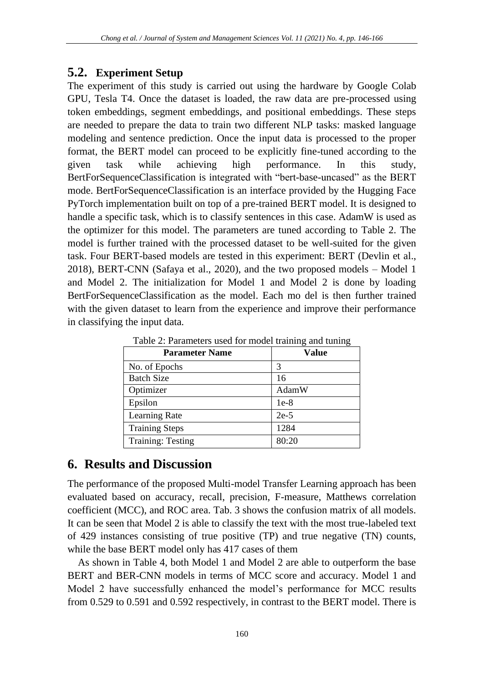#### **5.2. Experiment Setup**

The experiment of this study is carried out using the hardware by Google Colab GPU, Tesla T4. Once the dataset is loaded, the raw data are pre-processed using token embeddings, segment embeddings, and positional embeddings. These steps are needed to prepare the data to train two different NLP tasks: masked language modeling and sentence prediction. Once the input data is processed to the proper format, the BERT model can proceed to be explicitly fine-tuned according to the given task while achieving high performance. In this study, BertForSequenceClassification is integrated with "bert-base-uncased" as the BERT mode. BertForSequenceClassification is an interface provided by the Hugging Face PyTorch implementation built on top of a pre-trained BERT model. It is designed to handle a specific task, which is to classify sentences in this case. AdamW is used as the optimizer for this model. The parameters are tuned according to Table 2. The model is further trained with the processed dataset to be well-suited for the given task. Four BERT-based models are tested in this experiment: BERT (Devlin et al., 2018), BERT-CNN (Safaya et al., 2020), and the two proposed models – Model 1 and Model 2. The initialization for Model 1 and Model 2 is done by loading BertForSequenceClassification as the model. Each mo del is then further trained with the given dataset to learn from the experience and improve their performance in classifying the input data.

| <b>Parameter Name</b>    | Value  |
|--------------------------|--------|
| No. of Epochs            | 3      |
| <b>Batch Size</b>        | 16     |
| Optimizer                | AdamW  |
| Epsilon                  | $1e-8$ |
| Learning Rate            | $2e-5$ |
| <b>Training Steps</b>    | 1284   |
| <b>Training: Testing</b> | 80:20  |

Table 2: Parameters used for model training and tuning

## **6. Results and Discussion**

The performance of the proposed Multi-model Transfer Learning approach has been evaluated based on accuracy, recall, precision, F-measure, Matthews correlation coefficient (MCC), and ROC area. Tab. 3 shows the confusion matrix of all models. It can be seen that Model 2 is able to classify the text with the most true-labeled text of 429 instances consisting of true positive (TP) and true negative (TN) counts, while the base BERT model only has 417 cases of them

As shown in Table 4, both Model 1 and Model 2 are able to outperform the base BERT and BER-CNN models in terms of MCC score and accuracy. Model 1 and Model 2 have successfully enhanced the model's performance for MCC results from 0.529 to 0.591 and 0.592 respectively, in contrast to the BERT model. There is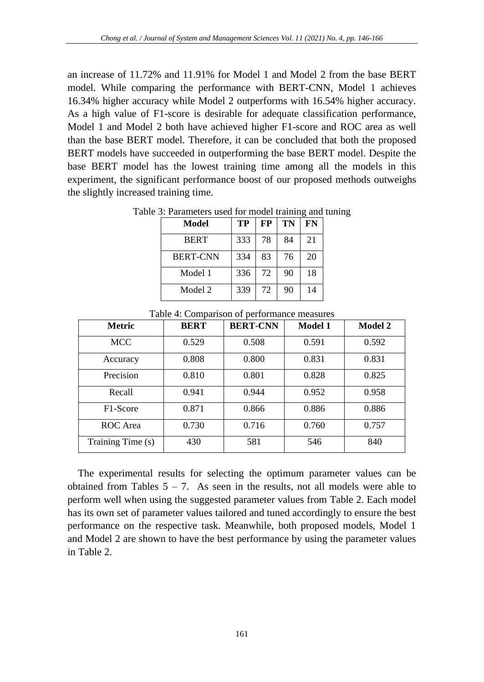an increase of 11.72% and 11.91% for Model 1 and Model 2 from the base BERT model. While comparing the performance with BERT-CNN, Model 1 achieves 16.34% higher accuracy while Model 2 outperforms with 16.54% higher accuracy. As a high value of F1-score is desirable for adequate classification performance, Model 1 and Model 2 both have achieved higher F1-score and ROC area as well than the base BERT model. Therefore, it can be concluded that both the proposed BERT models have succeeded in outperforming the base BERT model. Despite the base BERT model has the lowest training time among all the models in this experiment, the significant performance boost of our proposed methods outweighs the slightly increased training time.

| Model           | TP  | FP | TN | FN |
|-----------------|-----|----|----|----|
| <b>BERT</b>     | 333 | 78 | 84 | 21 |
| <b>BERT-CNN</b> | 334 | 83 | 76 | 20 |
| Model 1         | 336 | 72 | 90 | 18 |
| Model 2         | 339 | 72 | 90 | 14 |

Table 3: Parameters used for model training and tuning

| <b>Metric</b>     | <b>BERT</b> | <b>BERT-CNN</b> | <b>Model 1</b> | <b>Model 2</b> |
|-------------------|-------------|-----------------|----------------|----------------|
| <b>MCC</b>        | 0.529       | 0.508           | 0.591          | 0.592          |
| Accuracy          | 0.808       | 0.800           | 0.831          | 0.831          |
| Precision         | 0.810       | 0.801           | 0.828          | 0.825          |
| Recall            | 0.941       | 0.944           | 0.952          | 0.958          |
| F1-Score          | 0.871       | 0.866           | 0.886          | 0.886          |
| ROC Area          | 0.730       | 0.716           | 0.760          | 0.757          |
| Training Time (s) | 430         | 581             | 546            | 840            |

Table 4: Comparison of performance measures

The experimental results for selecting the optimum parameter values can be obtained from Tables  $5 - 7$ . As seen in the results, not all models were able to perform well when using the suggested parameter values from Table 2. Each model has its own set of parameter values tailored and tuned accordingly to ensure the best performance on the respective task. Meanwhile, both proposed models, Model 1 and Model 2 are shown to have the best performance by using the parameter values in Table 2.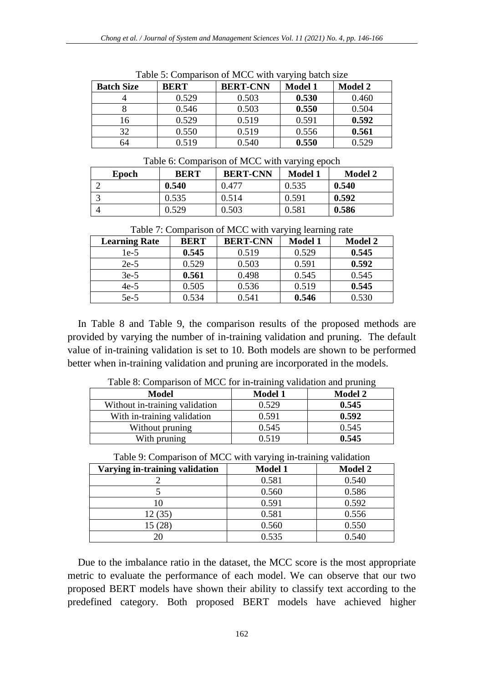|                   | J 0         |                 |                |                |  |
|-------------------|-------------|-----------------|----------------|----------------|--|
| <b>Batch Size</b> | <b>BERT</b> | <b>BERT-CNN</b> | <b>Model 1</b> | <b>Model 2</b> |  |
|                   | 0.529       | 0.503           | 0.530          | 0.460          |  |
|                   | 0.546       | 0.503           | 0.550          | 0.504          |  |
| 16                | 0.529       | 0.519           | 0.591          | 0.592          |  |
| 32                | 0.550       | 0.519           | 0.556          | 0.561          |  |
| 64                | 0.519       | 0.540           | 0.550          | 0.529          |  |

Table 5: Comparison of MCC with varying batch size

| Table 6: Comparison of MCC with varying epoch |       |             |                 |                |                |
|-----------------------------------------------|-------|-------------|-----------------|----------------|----------------|
|                                               | Epoch | <b>BERT</b> | <b>BERT-CNN</b> | <b>Model 1</b> | <b>Model 2</b> |
|                                               |       | 0.540       | 0.477           | 0.535          | 0.540          |
|                                               |       | 0.535       | 0.514           | 0.591          | 0.592          |
|                                               |       | 0.529       | 0.503           | 0.581          | 0.586          |

|  | Table 7: Comparison of MCC with varying learning rate |  |
|--|-------------------------------------------------------|--|
|  |                                                       |  |

| <b>Learning Rate</b> | <b>BERT</b> | <b>BERT-CNN</b> | <b>Model 1</b> | <b>Model 2</b> |
|----------------------|-------------|-----------------|----------------|----------------|
| 1e-5                 | 0.545       | 0.519           | 0.529          | 0.545          |
| $2e-5$               | 0.529       | 0.503           | 0.591          | 0.592          |
| $3e-5$               | 0.561       | 0.498           | 0.545          | 0.545          |
| $4e-5$               | 0.505       | 0.536           | 0.519          | 0.545          |
| $5e-5$               | 0.534       | 0.541           | 0.546          | 0.530          |

In Table 8 and Table 9, the comparison results of the proposed methods are provided by varying the number of in-training validation and pruning. The default value of in-training validation is set to 10. Both models are shown to be performed better when in-training validation and pruning are incorporated in the models.

| Twite of Comparison of the C for in training vandation and praining |                |                |  |  |  |
|---------------------------------------------------------------------|----------------|----------------|--|--|--|
| Model                                                               | <b>Model 1</b> | <b>Model 2</b> |  |  |  |
| Without in-training validation                                      | 0.529          | 0.545          |  |  |  |
| With in-training validation                                         | 0.591          | 0.592          |  |  |  |
| Without pruning                                                     | 0.545          | 0.545          |  |  |  |
| With pruning                                                        | 0.519          | 0.545          |  |  |  |

Table 8: Comparison of MCC for in-training validation and pruning

| Table 9: Comparison of MCC with varying in-training validation |  |  |
|----------------------------------------------------------------|--|--|
|                                                                |  |  |

| Varying in-training validation | <b>Model 1</b> | <b>Model 2</b> |
|--------------------------------|----------------|----------------|
|                                | 0.581          | 0.540          |
|                                | 0.560          | 0.586          |
| l0                             | 0.591          | 0.592          |
| 12 (35)                        | 0.581          | 0.556          |
| 15(28)                         | 0.560          | 0.550          |
| 20                             | 0.535          | 0.540          |

Due to the imbalance ratio in the dataset, the MCC score is the most appropriate metric to evaluate the performance of each model. We can observe that our two proposed BERT models have shown their ability to classify text according to the predefined category. Both proposed BERT models have achieved higher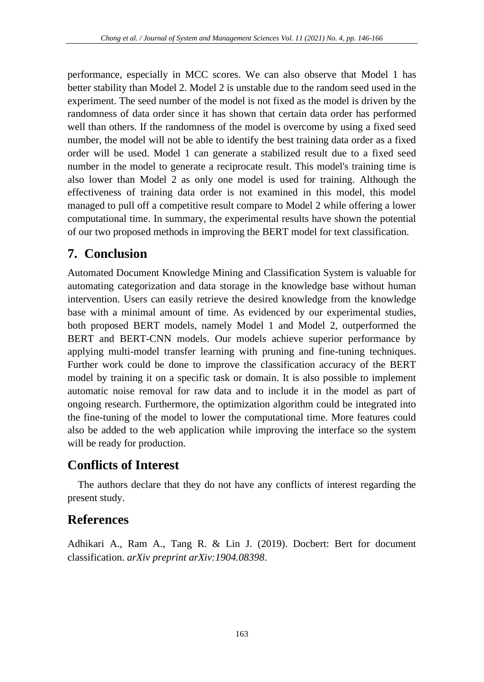performance, especially in MCC scores. We can also observe that Model 1 has better stability than Model 2. Model 2 is unstable due to the random seed used in the experiment. The seed number of the model is not fixed as the model is driven by the randomness of data order since it has shown that certain data order has performed well than others. If the randomness of the model is overcome by using a fixed seed number, the model will not be able to identify the best training data order as a fixed order will be used. Model 1 can generate a stabilized result due to a fixed seed number in the model to generate a reciprocate result. This model's training time is also lower than Model 2 as only one model is used for training. Although the effectiveness of training data order is not examined in this model, this model managed to pull off a competitive result compare to Model 2 while offering a lower computational time. In summary, the experimental results have shown the potential of our two proposed methods in improving the BERT model for text classification.

## **7. Conclusion**

Automated Document Knowledge Mining and Classification System is valuable for automating categorization and data storage in the knowledge base without human intervention. Users can easily retrieve the desired knowledge from the knowledge base with a minimal amount of time. As evidenced by our experimental studies, both proposed BERT models, namely Model 1 and Model 2, outperformed the BERT and BERT-CNN models. Our models achieve superior performance by applying multi-model transfer learning with pruning and fine-tuning techniques. Further work could be done to improve the classification accuracy of the BERT model by training it on a specific task or domain. It is also possible to implement automatic noise removal for raw data and to include it in the model as part of ongoing research. Furthermore, the optimization algorithm could be integrated into the fine-tuning of the model to lower the computational time. More features could also be added to the web application while improving the interface so the system will be ready for production.

# **Conflicts of Interest**

The authors declare that they do not have any conflicts of interest regarding the present study.

## **References**

Adhikari A., Ram A., Tang R. & Lin J. (2019). Docbert: Bert for document classification. *arXiv preprint arXiv:1904.08398*.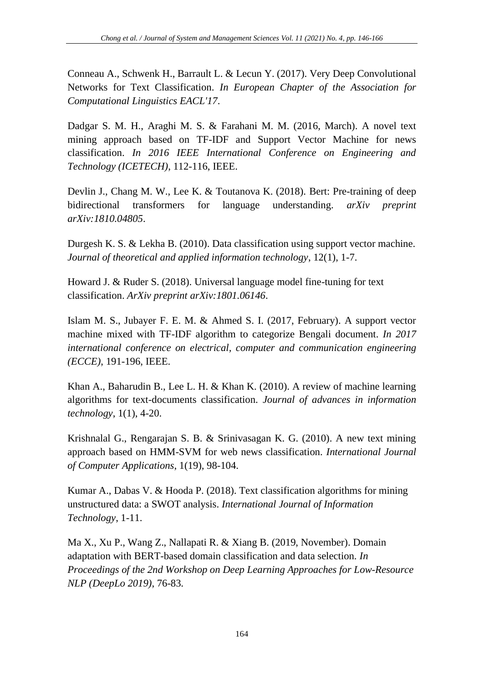Conneau A., Schwenk H., Barrault L. & Lecun Y. (2017). Very Deep Convolutional Networks for Text Classification. *In European Chapter of the Association for Computational Linguistics EACL'17*.

Dadgar S. M. H., Araghi M. S. & Farahani M. M. (2016, March). A novel text mining approach based on TF-IDF and Support Vector Machine for news classification. *In 2016 IEEE International Conference on Engineering and Technology (ICETECH)*, 112-116, IEEE.

Devlin J., Chang M. W., Lee K. & Toutanova K. (2018). Bert: Pre-training of deep bidirectional transformers for language understanding. *arXiv preprint arXiv:1810.04805*.

Durgesh K. S. & Lekha B. (2010). Data classification using support vector machine. *Journal of theoretical and applied information technology*, 12(1), 1-7.

Howard J. & Ruder S. (2018). Universal language model fine-tuning for text classification. *ArXiv preprint arXiv:1801.06146*.

Islam M. S., Jubayer F. E. M. & Ahmed S. I. (2017, February). A support vector machine mixed with TF-IDF algorithm to categorize Bengali document. *In 2017 international conference on electrical, computer and communication engineering (ECCE)*, 191-196, IEEE.

Khan A., Baharudin B., Lee L. H. & Khan K. (2010). A review of machine learning algorithms for text-documents classification. *Journal of advances in information technology*, 1(1), 4-20.

Krishnalal G., Rengarajan S. B. & Srinivasagan K. G. (2010). A new text mining approach based on HMM-SVM for web news classification. *International Journal of Computer Applications*, 1(19), 98-104.

Kumar A., Dabas V. & Hooda P. (2018). Text classification algorithms for mining unstructured data: a SWOT analysis. *International Journal of Information Technology*, 1-11.

Ma X., Xu P., Wang Z., Nallapati R. & Xiang B. (2019, November). Domain adaptation with BERT-based domain classification and data selection. *In Proceedings of the 2nd Workshop on Deep Learning Approaches for Low-Resource NLP (DeepLo 2019)*, 76-83.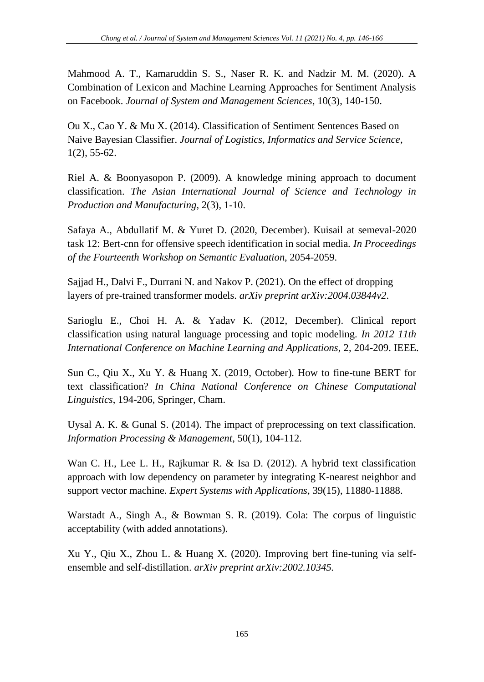Mahmood A. T., Kamaruddin S. S., Naser R. K. and Nadzir M. M. (2020). A Combination of Lexicon and Machine Learning Approaches for Sentiment Analysis on Facebook. *Journal of System and Management Sciences*, 10(3), 140-150.

Ou X., Cao Y. & Mu X. (2014). Classification of Sentiment Sentences Based on Naive Bayesian Classifier. *Journal of Logistics, Informatics and Service Science*, 1(2), 55-62.

Riel A. & Boonyasopon P. (2009). A knowledge mining approach to document classification. *The Asian International Journal of Science and Technology in Production and Manufacturing*, 2(3), 1-10.

Safaya A., Abdullatif M. & Yuret D. (2020, December). Kuisail at semeval-2020 task 12: Bert-cnn for offensive speech identification in social media. *In Proceedings of the Fourteenth Workshop on Semantic Evaluation*, 2054-2059.

Sajjad H., Dalvi F., Durrani N. and Nakov P. (2021). On the effect of dropping layers of pre-trained transformer models. *arXiv preprint arXiv:2004.03844v2*.

Sarioglu E., Choi H. A. & Yadav K. (2012, December). Clinical report classification using natural language processing and topic modeling. *In 2012 11th International Conference on Machine Learning and Applications*, 2, 204-209. IEEE.

Sun C., Qiu X., Xu Y. & Huang X. (2019, October). How to fine-tune BERT for text classification? *In China National Conference on Chinese Computational Linguistics*, 194-206, Springer, Cham.

Uysal A. K. & Gunal S. (2014). The impact of preprocessing on text classification. *Information Processing & Management*, 50(1), 104-112.

Wan C. H., Lee L. H., Rajkumar R. & Isa D. (2012). A hybrid text classification approach with low dependency on parameter by integrating K-nearest neighbor and support vector machine. *Expert Systems with Applications*, 39(15), 11880-11888.

Warstadt A., Singh A., & Bowman S. R. (2019). Cola: The corpus of linguistic acceptability (with added annotations).

Xu Y., Qiu X., Zhou L. & Huang X. (2020). Improving bert fine-tuning via selfensemble and self-distillation. *arXiv preprint arXiv:2002.10345.*